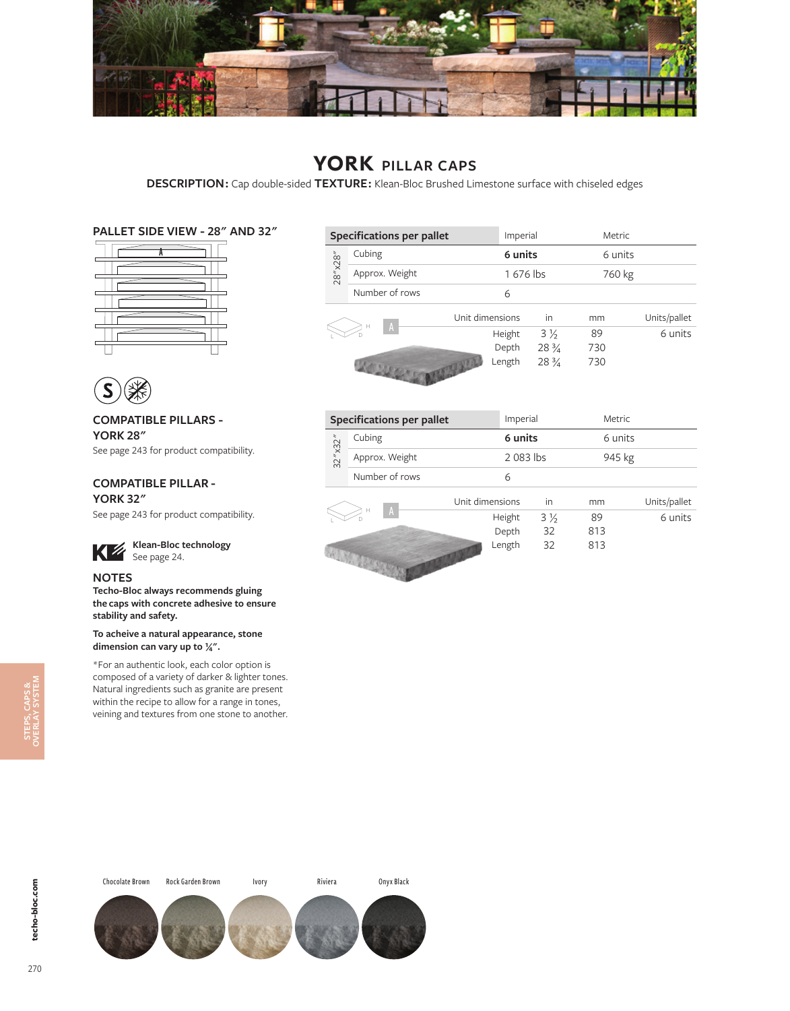

# **YORK PILLAR CAPS**

**DESCRIPTION :** Cap double-sided **TEXTURE :** Klean-Bloc Brushed Limestone surface with chiseled edges

### **PALLET SIDE VIEW - 28" AND 32"**





### **COMPATIBLE PILLARS - YORK 28"** See page 243 for product compatibility.

## **COMPATIBLE PILLAR -**

**YORK 32"** See page 243 for product compatibility.

### **Klean-Bloc technology** Klean-Block

### **NOTES**

**Techo-Bloc always recommends gluing the caps with concrete adhesive to ensure stability and safety.**

#### **To acheive a natural appearance, stone dimension can vary up to 1/4".**

\*For an authentic look, each color option is composed of a variety of darker & lighter tones. Natural ingredients such as granite are present within the recipe to allow for a range in tones, veining and textures from one stone to another.

| <b>Specifications per pallet</b> |                |                 |        | Imperial        |     | Metric  |              |
|----------------------------------|----------------|-----------------|--------|-----------------|-----|---------|--------------|
|                                  | Cubing         |                 |        | 6 units         |     | 6 units |              |
| 28" x28"                         | Approx. Weight |                 |        | 1676 lbs        |     | 760 kg  |              |
|                                  | Number of rows |                 | 6      |                 |     |         |              |
|                                  |                | Unit dimensions |        | in              | mm  |         | Units/pallet |
|                                  | н<br>A         |                 | Height | $3\frac{1}{2}$  | 89  |         | 6 units      |
|                                  |                |                 | Depth  | $28\frac{3}{4}$ | 730 |         |              |
|                                  |                |                 | Length | $28\frac{3}{4}$ | 730 |         |              |

| <b>Specifications per pallet</b> |                |                 | Imperial  |                |         | <b>Metric</b> |  |
|----------------------------------|----------------|-----------------|-----------|----------------|---------|---------------|--|
|                                  | Cubing         |                 | 6 units   |                | 6 units |               |  |
| 32''x32''                        | Approx. Weight |                 | 2 083 lbs |                | 945 kg  |               |  |
|                                  | Number of rows |                 | 6         |                |         |               |  |
|                                  |                |                 |           |                |         |               |  |
|                                  |                | Unit dimensions |           | in             | mm      | Units/pallet  |  |
|                                  | н<br>A         |                 | Height    | $3\frac{1}{2}$ | 89      | 6 units       |  |
|                                  |                |                 | Depth     | 32             | 813     |               |  |

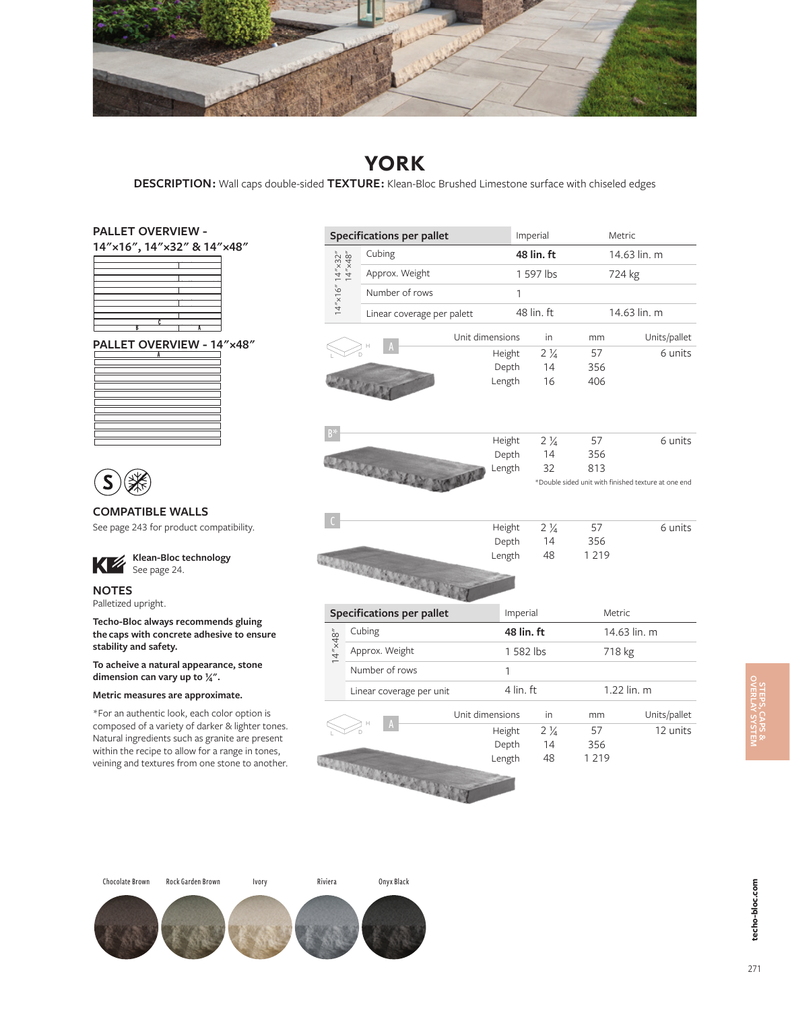

## **YORK**

**DESCRIPTION :** Wall caps double-sided **TEXTURE :** Klean-Bloc Brushed Limestone surface with chiseled edges

### **PALLET OVERVIEW -**

| 14"x16", 14"x32" & 14"x48" |  |  |
|----------------------------|--|--|
|                            |  |  |
|                            |  |  |
|                            |  |  |
|                            |  |  |
| R                          |  |  |
| PALLET OVERVIEW - 14"x48"  |  |  |
|                            |  |  |
|                            |  |  |
|                            |  |  |



### **COMPATIBLE WALLS**

See page 243 for product compatibility.



**NOTES** Palletized upright.

**Techo-Bloc always recommends gluing the caps with concrete adhesive to ensure stability and safety.**

**To acheive a natural appearance, stone dimension can vary up to 1/4".**

#### **Metric measures are approximate.**

\*For an authentic look, each color option is composed of a variety of darker & lighter tones. Natural ingredients such as granite are present within the recipe to allow for a range in tones, veining and textures from one stone to another.

|                                        | <b>Specifications per pallet</b> |                            |          | Imperial       | Metric  |                                                     |  |
|----------------------------------------|----------------------------------|----------------------------|----------|----------------|---------|-----------------------------------------------------|--|
|                                        | Cubing                           |                            |          | 48 lin. ft     |         | 14.63 lin. m                                        |  |
|                                        |                                  | Approx. Weight             |          | 1 597 lbs      |         | 724 kg                                              |  |
| $14''$ x16" $14''$ x32"<br>$14''$ x48" |                                  | Number of rows             |          |                |         |                                                     |  |
|                                        |                                  | Linear coverage per palett |          | 48 lin. ft     |         | 14.63 lin. m                                        |  |
|                                        |                                  | Unit dimensions            |          | in             | mm      | Units/pallet                                        |  |
|                                        |                                  |                            | Height   | $2\frac{1}{4}$ | 57      | 6 units                                             |  |
|                                        |                                  |                            | Depth    | 14             | 356     |                                                     |  |
|                                        | <b>PANCON</b>                    |                            | Length   | 16             | 406     |                                                     |  |
| $B^*$                                  |                                  |                            | Height   | $2\frac{1}{4}$ | 57      | 6 units                                             |  |
|                                        |                                  |                            | Depth    | 14             | 356     |                                                     |  |
|                                        |                                  |                            | Length   | 32             | 813     |                                                     |  |
|                                        | STORMART HAR TO MA               |                            |          |                |         | *Double sided unit with finished texture at one end |  |
|                                        |                                  |                            | Height   | $2\frac{1}{4}$ | 57      | 6 units                                             |  |
|                                        |                                  |                            | Depth    | 14             | 356     |                                                     |  |
|                                        | REGULATION CONTACT AND           |                            | Length   | 48             | 1 2 1 9 |                                                     |  |
|                                        | <b>Specifications per pallet</b> |                            | Imperial |                | Metric  |                                                     |  |
|                                        | Cubing                           |                            |          | 48 lin. ft     |         | 14.63 lin. m                                        |  |
| $14'' \times 48''$                     | Approx. Weight                   |                            |          | 1 582 lbs      |         | 718 kg                                              |  |
|                                        | Number of rows                   | 1                          |          |                |         |                                                     |  |
|                                        |                                  | Linear coverage per unit   |          | 4 lin. ft      |         | 1.22 lin. m                                         |  |
|                                        |                                  | Unit dimensions            |          | in             | mm      | Units/pallet                                        |  |
|                                        |                                  |                            | Height   | $2\frac{1}{4}$ | 57      | 12 units                                            |  |
|                                        |                                  |                            | Depth    | 14             | 356     |                                                     |  |
|                                        | <b>HEADTROWN MARKET AND RE</b>   |                            | Length   | 48             | 1 2 1 9 |                                                     |  |